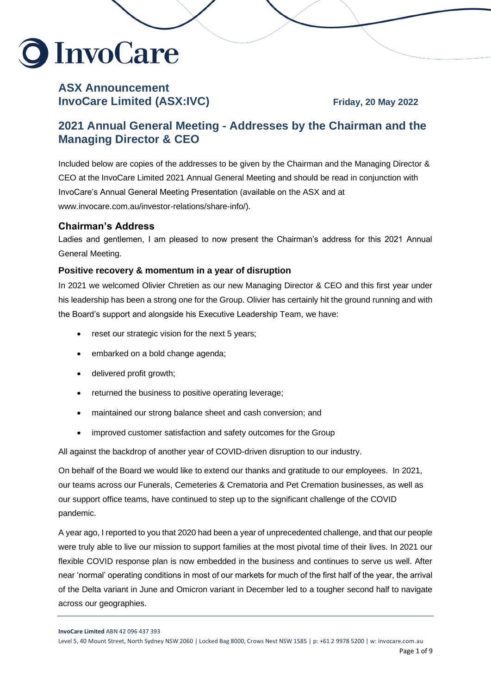

# **ASX Announcement InvoCare Limited (ASX:IVC)** Friday, 20 May 2022

# **2021 Annual General Meeting - Addresses by the Chairman and the Managing Director & CEO**

Included below are copies of the addresses to be given by the Chairman and the Managing Director & CEO at the InvoCare Limited 2021 Annual General Meeting and should be read in conjunction with InvoCare's Annual General Meeting Presentation (available on the ASX and at www.invocare.com.au/investor-relations/share-info/).

## **Chairman's Address**

Ladies and gentlemen, I am pleased to now present the Chairman's address for this 2021 Annual General Meeting.

#### **Positive recovery & momentum in a year of disruption**

In 2021 we welcomed Olivier Chretien as our new Managing Director & CEO and this first year under his leadership has been a strong one for the Group. Olivier has certainly hit the ground running and with the Board's support and alongside his Executive Leadership Team, we have:

- reset our strategic vision for the next 5 years;
- embarked on a bold change agenda;
- delivered profit growth;
- returned the business to positive operating leverage;
- maintained our strong balance sheet and cash conversion; and
- improved customer satisfaction and safety outcomes for the Group

All against the backdrop of another year of COVID-driven disruption to our industry.

On behalf of the Board we would like to extend our thanks and gratitude to our employees. In 2021, our teams across our Funerals, Cemeteries & Crematoria and Pet Cremation businesses, as well as our support office teams, have continued to step up to the significant challenge of the COVID pandemic.

A year ago, I reported to you that 2020 had been a year of unprecedented challenge, and that our people were truly able to live our mission to support families at the most pivotal time of their lives. In 2021 our flexible COVID response plan is now embedded in the business and continues to serve us well. After near 'normal' operating conditions in most of our markets for much of the first half of the year, the arrival of the Delta variant in June and Omicron variant in December led to a tougher second half to navigate across our geographies.

**InvoCare Limited** ABN 42 096 437 393

Level 5, 40 Mount Street, North Sydney NSW 2060 | Locked Bag 8000, Crows Nest NSW 1585 | p: +61 2 9978 5200 | w: invocare.com.au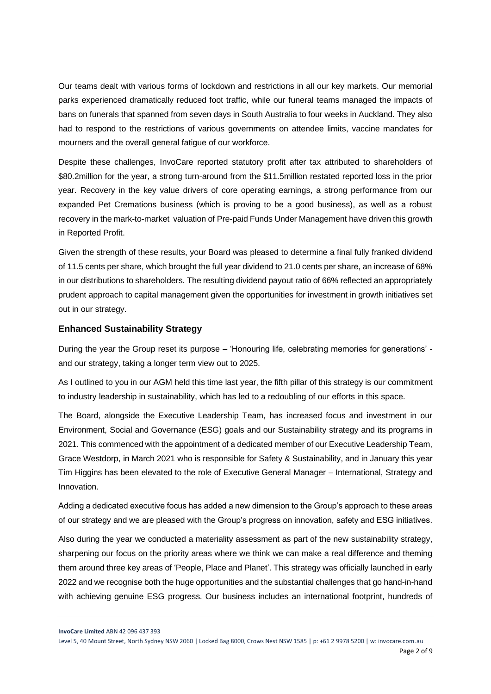Our teams dealt with various forms of lockdown and restrictions in all our key markets. Our memorial parks experienced dramatically reduced foot traffic, while our funeral teams managed the impacts of bans on funerals that spanned from seven days in South Australia to four weeks in Auckland. They also had to respond to the restrictions of various governments on attendee limits, vaccine mandates for mourners and the overall general fatigue of our workforce.

Despite these challenges, InvoCare reported statutory profit after tax attributed to shareholders of \$80.2million for the year, a strong turn-around from the \$11.5million restated reported loss in the prior year. Recovery in the key value drivers of core operating earnings, a strong performance from our expanded Pet Cremations business (which is proving to be a good business), as well as a robust recovery in the mark-to-market valuation of Pre-paid Funds Under Management have driven this growth in Reported Profit.

Given the strength of these results, your Board was pleased to determine a final fully franked dividend of 11.5 cents per share, which brought the full year dividend to 21.0 cents per share, an increase of 68% in our distributions to shareholders. The resulting dividend payout ratio of 66% reflected an appropriately prudent approach to capital management given the opportunities for investment in growth initiatives set out in our strategy.

#### **Enhanced Sustainability Strategy**

During the year the Group reset its purpose – 'Honouring life, celebrating memories for generations' and our strategy, taking a longer term view out to 2025.

As I outlined to you in our AGM held this time last year, the fifth pillar of this strategy is our commitment to industry leadership in sustainability, which has led to a redoubling of our efforts in this space.

The Board, alongside the Executive Leadership Team, has increased focus and investment in our Environment, Social and Governance (ESG) goals and our Sustainability strategy and its programs in 2021. This commenced with the appointment of a dedicated member of our Executive Leadership Team, Grace Westdorp, in March 2021 who is responsible for Safety & Sustainability, and in January this year Tim Higgins has been elevated to the role of Executive General Manager – International, Strategy and Innovation.

Adding a dedicated executive focus has added a new dimension to the Group's approach to these areas of our strategy and we are pleased with the Group's progress on innovation, safety and ESG initiatives.

Also during the year we conducted a materiality assessment as part of the new sustainability strategy, sharpening our focus on the priority areas where we think we can make a real difference and theming them around three key areas of 'People, Place and Planet'. This strategy was officially launched in early 2022 and we recognise both the huge opportunities and the substantial challenges that go hand-in-hand with achieving genuine ESG progress. Our business includes an international footprint, hundreds of

**InvoCare Limited** ABN 42 096 437 393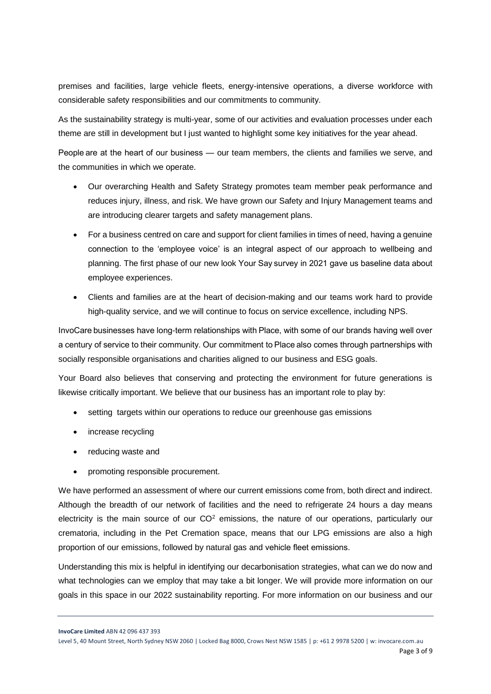premises and facilities, large vehicle fleets, energy-intensive operations, a diverse workforce with considerable safety responsibilities and our commitments to community.

As the sustainability strategy is multi-year, some of our activities and evaluation processes under each theme are still in development but I just wanted to highlight some key initiatives for the year ahead.

People are at the heart of our business — our team members, the clients and families we serve, and the communities in which we operate.

- Our overarching Health and Safety Strategy promotes team member peak performance and reduces injury, illness, and risk. We have grown our Safety and Injury Management teams and are introducing clearer targets and safety management plans.
- For a business centred on care and support for client families in times of need, having a genuine connection to the 'employee voice' is an integral aspect of our approach to wellbeing and planning. The first phase of our new look Your Say survey in 2021 gave us baseline data about employee experiences.
- Clients and families are at the heart of decision-making and our teams work hard to provide high-quality service, and we will continue to focus on service excellence, including NPS.

InvoCare businesses have long-term relationships with Place, with some of our brands having well over a century of service to their community. Our commitment to Place also comes through partnerships with socially responsible organisations and charities aligned to our business and ESG goals.

Your Board also believes that conserving and protecting the environment for future generations is likewise critically important. We believe that our business has an important role to play by:

- setting targets within our operations to reduce our greenhouse gas emissions
- increase recycling
- reducing waste and
- promoting responsible procurement.

We have performed an assessment of where our current emissions come from, both direct and indirect. Although the breadth of our network of facilities and the need to refrigerate 24 hours a day means electricity is the main source of our  $CO<sup>2</sup>$  emissions, the nature of our operations, particularly our crematoria, including in the Pet Cremation space, means that our LPG emissions are also a high proportion of our emissions, followed by natural gas and vehicle fleet emissions. 

Understanding this mix is helpful in identifying our decarbonisation strategies, what can we do now and what technologies can we employ that may take a bit longer. We will provide more information on our goals in this space in our 2022 sustainability reporting. For more information on our business and our

**InvoCare Limited** ABN 42 096 437 393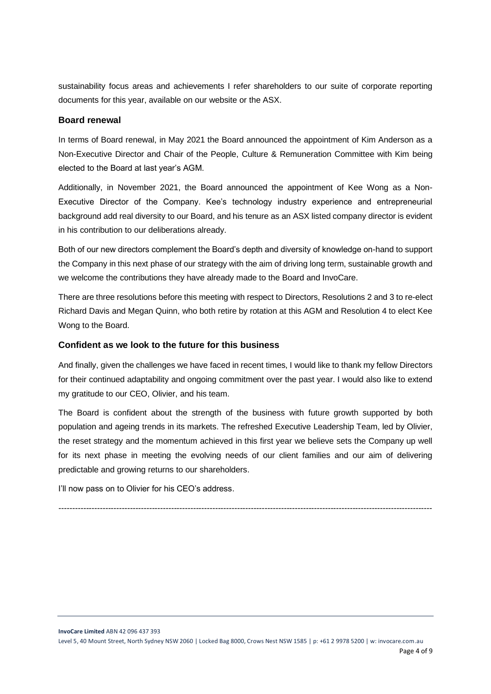sustainability focus areas and achievements I refer shareholders to our suite of corporate reporting documents for this year, available on our website or the ASX.

#### **Board renewal**

In terms of Board renewal, in May 2021 the Board announced the appointment of Kim Anderson as a Non-Executive Director and Chair of the People, Culture & Remuneration Committee with Kim being elected to the Board at last year's AGM.

Additionally, in November 2021, the Board announced the appointment of Kee Wong as a Non-Executive Director of the Company. Kee's technology industry experience and entrepreneurial background add real diversity to our Board, and his tenure as an ASX listed company director is evident in his contribution to our deliberations already.

Both of our new directors complement the Board's depth and diversity of knowledge on-hand to support the Company in this next phase of our strategy with the aim of driving long term, sustainable growth and we welcome the contributions they have already made to the Board and InvoCare.

There are three resolutions before this meeting with respect to Directors, Resolutions 2 and 3 to re-elect Richard Davis and Megan Quinn, who both retire by rotation at this AGM and Resolution 4 to elect Kee Wong to the Board.

#### **Confident as we look to the future for this business**

And finally, given the challenges we have faced in recent times, I would like to thank my fellow Directors for their continued adaptability and ongoing commitment over the past year. I would also like to extend my gratitude to our CEO, Olivier, and his team.

The Board is confident about the strength of the business with future growth supported by both population and ageing trends in its markets. The refreshed Executive Leadership Team, led by Olivier, the reset strategy and the momentum achieved in this first year we believe sets the Company up well for its next phase in meeting the evolving needs of our client families and our aim of delivering predictable and growing returns to our shareholders.

I'll now pass on to Olivier for his CEO's address.

*----------------------------------------------------------------------------------------------------------------------------------------*

**InvoCare Limited** ABN 42 096 437 393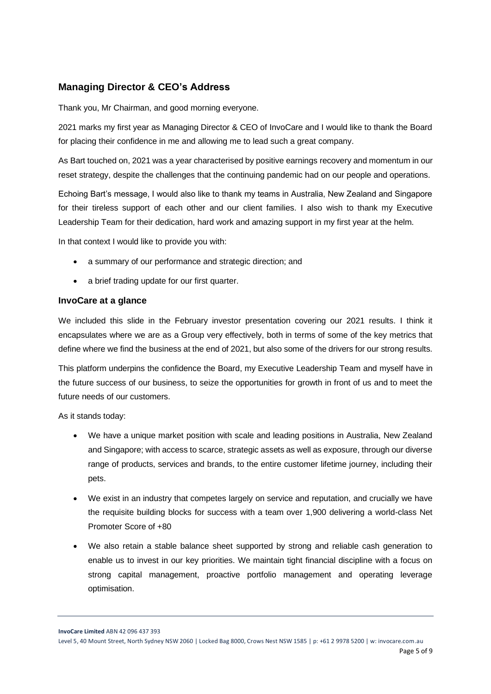# **Managing Director & CEO's Address**

Thank you, Mr Chairman, and good morning everyone.

2021 marks my first year as Managing Director & CEO of InvoCare and I would like to thank the Board for placing their confidence in me and allowing me to lead such a great company.

As Bart touched on, 2021 was a year characterised by positive earnings recovery and momentum in our reset strategy, despite the challenges that the continuing pandemic had on our people and operations.

Echoing Bart's message, I would also like to thank my teams in Australia, New Zealand and Singapore for their tireless support of each other and our client families. I also wish to thank my Executive Leadership Team for their dedication, hard work and amazing support in my first year at the helm.

In that context I would like to provide you with:

- a summary of our performance and strategic direction; and
- a brief trading update for our first quarter.

#### **InvoCare at a glance**

We included this slide in the February investor presentation covering our 2021 results. I think it encapsulates where we are as a Group very effectively, both in terms of some of the key metrics that define where we find the business at the end of 2021, but also some of the drivers for our strong results.

This platform underpins the confidence the Board, my Executive Leadership Team and myself have in the future success of our business, to seize the opportunities for growth in front of us and to meet the future needs of our customers.

As it stands today:

- We have a unique market position with scale and leading positions in Australia, New Zealand and Singapore; with access to scarce, strategic assets as well as exposure, through our diverse range of products, services and brands, to the entire customer lifetime journey, including their pets.
- We exist in an industry that competes largely on service and reputation, and crucially we have the requisite building blocks for success with a team over 1,900 delivering a world-class Net Promoter Score of +80
- We also retain a stable balance sheet supported by strong and reliable cash generation to enable us to invest in our key priorities. We maintain tight financial discipline with a focus on strong capital management, proactive portfolio management and operating leverage optimisation.

**InvoCare Limited** ABN 42 096 437 393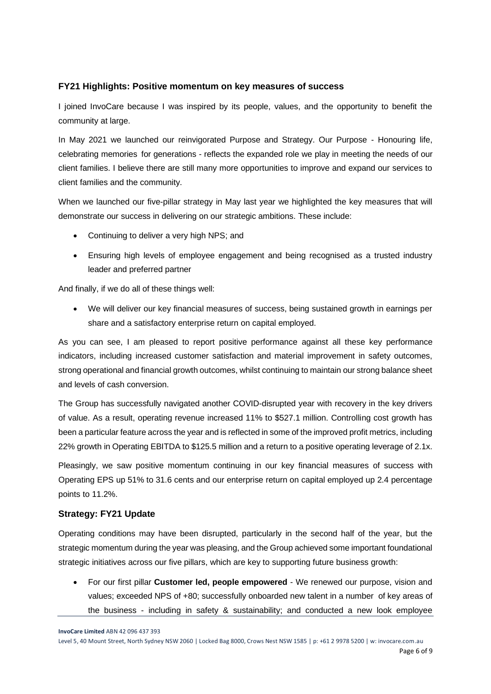#### **FY21 Highlights: Positive momentum on key measures of success**

I joined InvoCare because I was inspired by its people, values, and the opportunity to benefit the community at large.

In May 2021 we launched our reinvigorated Purpose and Strategy. Our Purpose - Honouring life, celebrating memories for generations - reflects the expanded role we play in meeting the needs of our client families. I believe there are still many more opportunities to improve and expand our services to client families and the community.

When we launched our five-pillar strategy in May last year we highlighted the key measures that will demonstrate our success in delivering on our strategic ambitions. These include:

- Continuing to deliver a very high NPS; and
- Ensuring high levels of employee engagement and being recognised as a trusted industry leader and preferred partner

And finally, if we do all of these things well:

• We will deliver our key financial measures of success, being sustained growth in earnings per share and a satisfactory enterprise return on capital employed.

As you can see, I am pleased to report positive performance against all these key performance indicators, including increased customer satisfaction and material improvement in safety outcomes, strong operational and financial growth outcomes, whilst continuing to maintain our strong balance sheet and levels of cash conversion.

The Group has successfully navigated another COVID-disrupted year with recovery in the key drivers of value. As a result, operating revenue increased 11% to \$527.1 million. Controlling cost growth has been a particular feature across the year and is reflected in some of the improved profit metrics, including 22% growth in Operating EBITDA to \$125.5 million and a return to a positive operating leverage of 2.1x.

Pleasingly, we saw positive momentum continuing in our key financial measures of success with Operating EPS up 51% to 31.6 cents and our enterprise return on capital employed up 2.4 percentage points to 11.2%.

## **Strategy: FY21 Update**

Operating conditions may have been disrupted, particularly in the second half of the year, but the strategic momentum during the year was pleasing, and the Group achieved some important foundational strategic initiatives across our five pillars, which are key to supporting future business growth:

• For our first pillar **Customer led, people empowered** - We renewed our purpose, vision and values; exceeded NPS of +80; successfully onboarded new talent in a number of key areas of the business - including in safety & sustainability; and conducted a new look employee

**InvoCare Limited** ABN 42 096 437 393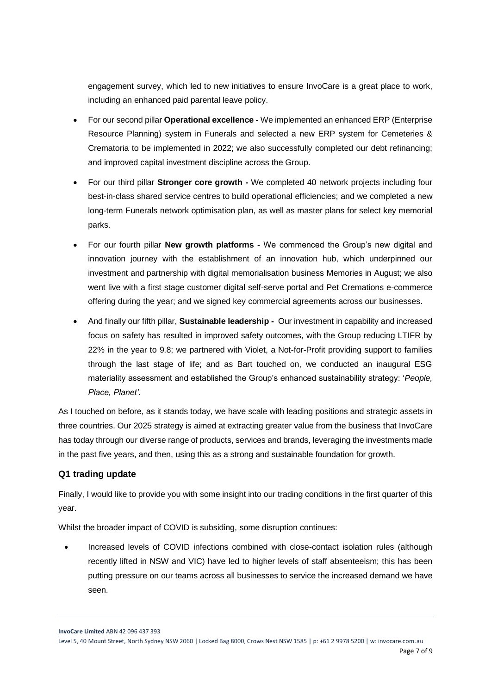engagement survey, which led to new initiatives to ensure InvoCare is a great place to work, including an enhanced paid parental leave policy.

- For our second pillar **Operational excellence -** We implemented an enhanced ERP (Enterprise Resource Planning) system in Funerals and selected a new ERP system for Cemeteries & Crematoria to be implemented in 2022; we also successfully completed our debt refinancing; and improved capital investment discipline across the Group.
- For our third pillar **Stronger core growth -** We completed 40 network projects including four best-in-class shared service centres to build operational efficiencies; and we completed a new long-term Funerals network optimisation plan, as well as master plans for select key memorial parks.
- For our fourth pillar **New growth platforms -** We commenced the Group's new digital and innovation journey with the establishment of an innovation hub, which underpinned our investment and partnership with digital memorialisation business Memories in August; we also went live with a first stage customer digital self-serve portal and Pet Cremations e-commerce offering during the year; and we signed key commercial agreements across our businesses.
- And finally our fifth pillar, **Sustainable leadership -** Our investment in capability and increased focus on safety has resulted in improved safety outcomes, with the Group reducing LTIFR by 22% in the year to 9.8; we partnered with Violet, a Not-for-Profit providing support to families through the last stage of life; and as Bart touched on, we conducted an inaugural ESG materiality assessment and established the Group's enhanced sustainability strategy: '*People, Place, Planet'*.

As I touched on before, as it stands today, we have scale with leading positions and strategic assets in three countries. Our 2025 strategy is aimed at extracting greater value from the business that InvoCare has today through our diverse range of products, services and brands, leveraging the investments made in the past five years, and then, using this as a strong and sustainable foundation for growth.

### **Q1 trading update**

Finally, I would like to provide you with some insight into our trading conditions in the first quarter of this year.

Whilst the broader impact of COVID is subsiding, some disruption continues:

• Increased levels of COVID infections combined with close-contact isolation rules (although recently lifted in NSW and VIC) have led to higher levels of staff absenteeism; this has been putting pressure on our teams across all businesses to service the increased demand we have seen.

**InvoCare Limited** ABN 42 096 437 393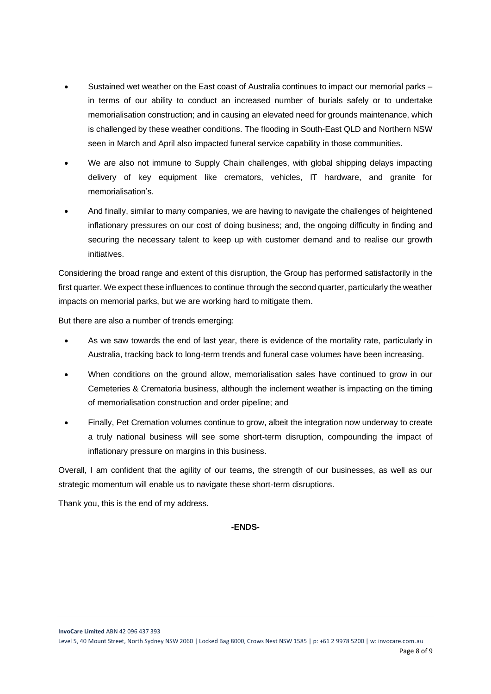- Sustained wet weather on the East coast of Australia continues to impact our memorial parks in terms of our ability to conduct an increased number of burials safely or to undertake memorialisation construction; and in causing an elevated need for grounds maintenance, which is challenged by these weather conditions. The flooding in South-East QLD and Northern NSW seen in March and April also impacted funeral service capability in those communities.
- We are also not immune to Supply Chain challenges, with global shipping delays impacting delivery of key equipment like cremators, vehicles, IT hardware, and granite for memorialisation's.
- And finally, similar to many companies, we are having to navigate the challenges of heightened inflationary pressures on our cost of doing business; and, the ongoing difficulty in finding and securing the necessary talent to keep up with customer demand and to realise our growth initiatives.

Considering the broad range and extent of this disruption, the Group has performed satisfactorily in the first quarter. We expect these influences to continue through the second quarter, particularly the weather impacts on memorial parks, but we are working hard to mitigate them.

But there are also a number of trends emerging:

- As we saw towards the end of last year, there is evidence of the mortality rate, particularly in Australia, tracking back to long-term trends and funeral case volumes have been increasing.
- When conditions on the ground allow, memorialisation sales have continued to grow in our Cemeteries & Crematoria business, although the inclement weather is impacting on the timing of memorialisation construction and order pipeline; and
- Finally, Pet Cremation volumes continue to grow, albeit the integration now underway to create a truly national business will see some short-term disruption, compounding the impact of inflationary pressure on margins in this business.

Overall, I am confident that the agility of our teams, the strength of our businesses, as well as our strategic momentum will enable us to navigate these short-term disruptions.

Thank you, this is the end of my address.

#### **-ENDS-**

**InvoCare Limited** ABN 42 096 437 393